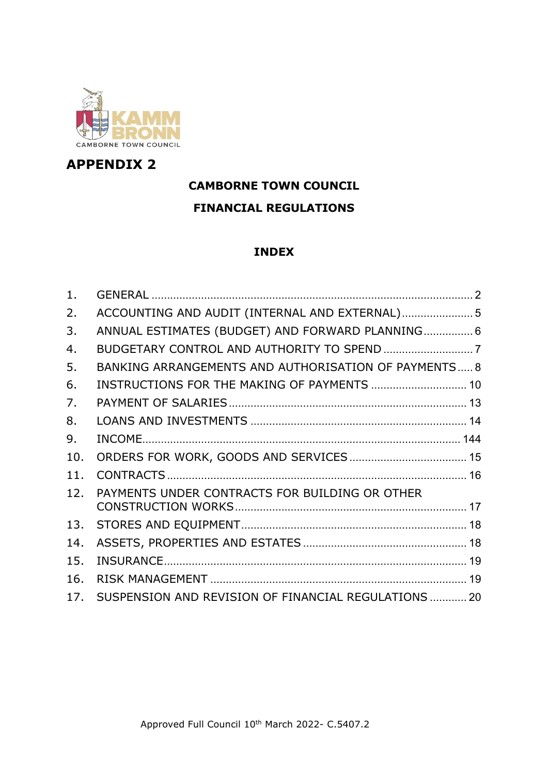

# **APPENDIX 2**

# **CAMBORNE TOWN COUNCIL FINANCIAL REGULATIONS**

## **INDEX**

| 1.  |                                                      |  |
|-----|------------------------------------------------------|--|
| 2.  | ACCOUNTING AND AUDIT (INTERNAL AND EXTERNAL) 5       |  |
| 3.  | ANNUAL ESTIMATES (BUDGET) AND FORWARD PLANNING 6     |  |
| 4.  |                                                      |  |
| 5.  | BANKING ARRANGEMENTS AND AUTHORISATION OF PAYMENTS 8 |  |
| 6.  | INSTRUCTIONS FOR THE MAKING OF PAYMENTS  10          |  |
| 7.  |                                                      |  |
| 8.  |                                                      |  |
| 9.  |                                                      |  |
| 10. |                                                      |  |
| 11. |                                                      |  |
| 12. | PAYMENTS UNDER CONTRACTS FOR BUILDING OR OTHER       |  |
| 13. |                                                      |  |
| 14. |                                                      |  |
| 15. |                                                      |  |
| 16. |                                                      |  |
| 17. | SUSPENSION AND REVISION OF FINANCIAL REGULATIONS  20 |  |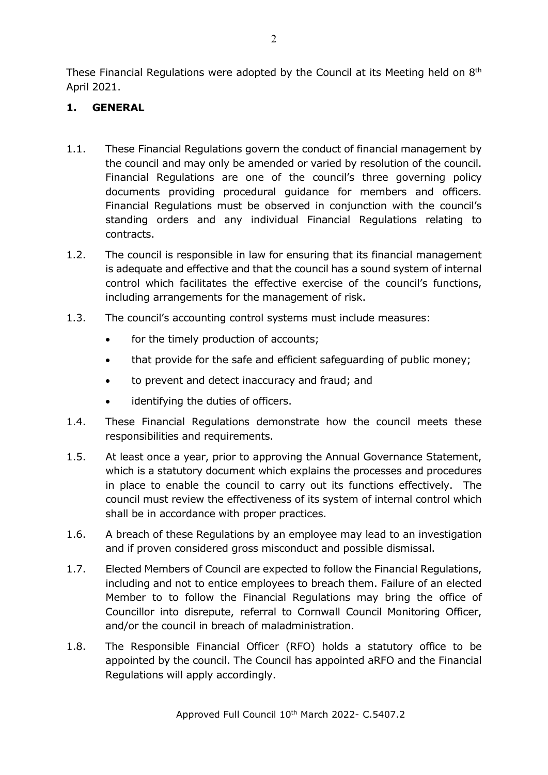These Financial Regulations were adopted by the Council at its Meeting held on 8<sup>th</sup> April 2021.

### <span id="page-1-0"></span>**1. GENERAL**

- 1.1. These Financial Regulations govern the conduct of financial management by the council and may only be amended or varied by resolution of the council. Financial Regulations are one of the council's three governing policy documents providing procedural guidance for members and officers. Financial Regulations must be observed in conjunction with the council's standing orders and any individual Financial Regulations relating to contracts.
- 1.2. The council is responsible in law for ensuring that its financial management is adequate and effective and that the council has a sound system of internal control which facilitates the effective exercise of the council's functions, including arrangements for the management of risk.
- 1.3. The council's accounting control systems must include measures:
	- for the timely production of accounts;
	- that provide for the safe and efficient safeguarding of public money;
	- to prevent and detect inaccuracy and fraud; and
	- identifying the duties of officers.
- 1.4. These Financial Regulations demonstrate how the council meets these responsibilities and requirements.
- 1.5. At least once a year, prior to approving the Annual Governance Statement, which is a statutory document which explains the processes and procedures in place to enable the council to carry out its functions effectively. The council must review the effectiveness of its system of internal control which shall be in accordance with proper practices.
- 1.6. A breach of these Regulations by an employee may lead to an investigation and if proven considered gross misconduct and possible dismissal.
- 1.7. Elected Members of Council are expected to follow the Financial Regulations, including and not to entice employees to breach them. Failure of an elected Member to to follow the Financial Regulations may bring the office of Councillor into disrepute, referral to Cornwall Council Monitoring Officer, and/or the council in breach of maladministration.
- 1.8. The Responsible Financial Officer (RFO) holds a statutory office to be appointed by the council. The Council has appointed aRFO and the Financial Regulations will apply accordingly.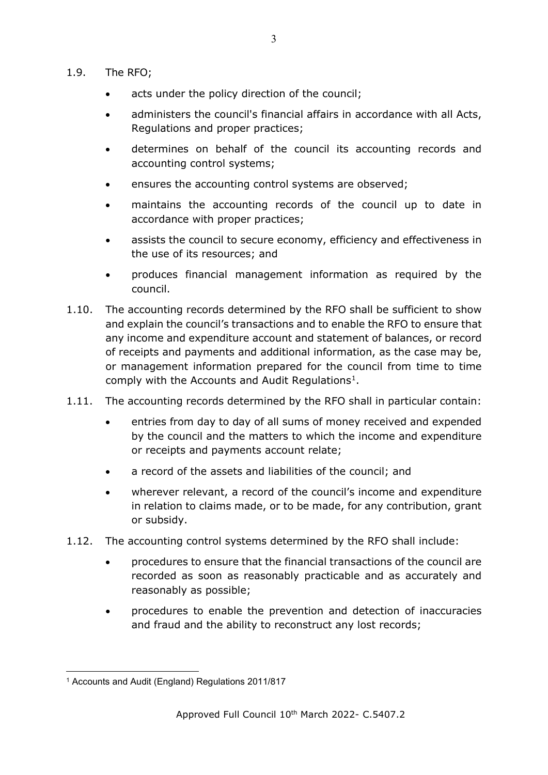- 1.9. The RFO;
	- acts under the policy direction of the council;
	- administers the council's financial affairs in accordance with all Acts, Regulations and proper practices;
	- determines on behalf of the council its accounting records and accounting control systems;
	- ensures the accounting control systems are observed;
	- maintains the accounting records of the council up to date in accordance with proper practices;
	- assists the council to secure economy, efficiency and effectiveness in the use of its resources; and
	- produces financial management information as required by the council.
- 1.10. The accounting records determined by the RFO shall be sufficient to show and explain the council's transactions and to enable the RFO to ensure that any income and expenditure account and statement of balances, or record of receipts and payments and additional information, as the case may be, or management information prepared for the council from time to time comply with the Accounts and Audit Regulations<sup>1</sup>.
- 1.11. The accounting records determined by the RFO shall in particular contain:
	- entries from day to day of all sums of money received and expended by the council and the matters to which the income and expenditure or receipts and payments account relate;
	- a record of the assets and liabilities of the council; and
	- wherever relevant, a record of the council's income and expenditure in relation to claims made, or to be made, for any contribution, grant or subsidy.
- 1.12. The accounting control systems determined by the RFO shall include:
	- procedures to ensure that the financial transactions of the council are recorded as soon as reasonably practicable and as accurately and reasonably as possible;
	- procedures to enable the prevention and detection of inaccuracies and fraud and the ability to reconstruct any lost records;

<span id="page-2-0"></span><sup>1</sup> Accounts and Audit (England) Regulations 2011/817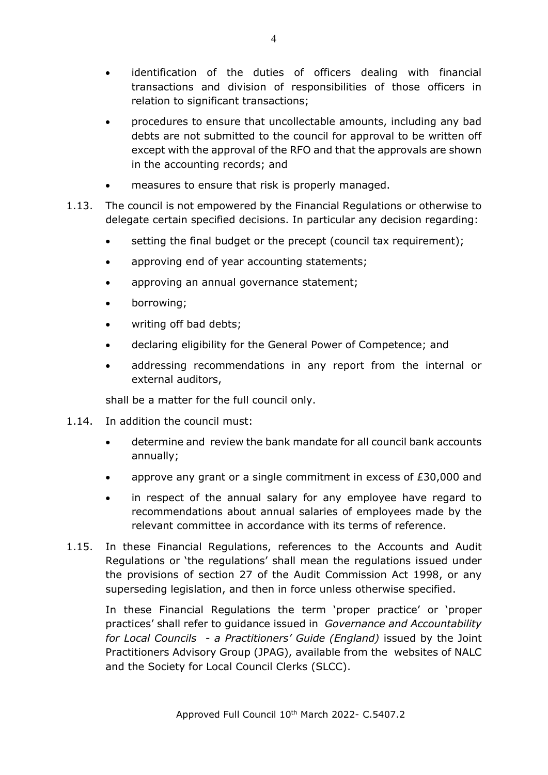- identification of the duties of officers dealing with financial transactions and division of responsibilities of those officers in relation to significant transactions;
- procedures to ensure that uncollectable amounts, including any bad debts are not submitted to the council for approval to be written off except with the approval of the RFO and that the approvals are shown in the accounting records; and
- measures to ensure that risk is properly managed.
- 1.13. The council is not empowered by the Financial Regulations or otherwise to delegate certain specified decisions. In particular any decision regarding:
	- setting the final budget or the precept (council tax requirement);
	- approving end of year accounting statements;
	- approving an annual governance statement;
	- borrowing;
	- writing off bad debts;
	- declaring eligibility for the General Power of Competence; and
	- addressing recommendations in any report from the internal or external auditors,

shall be a matter for the full council only.

- 1.14. In addition the council must:
	- determine and review the bank mandate for all council bank accounts annually;
	- approve any grant or a single commitment in excess of £30,000 and
	- in respect of the annual salary for any employee have regard to recommendations about annual salaries of employees made by the relevant committee in accordance with its terms of reference.
- 1.15. In these Financial Regulations, references to the Accounts and Audit Regulations or 'the regulations' shall mean the regulations issued under the provisions of section 27 of the Audit Commission Act 1998, or any superseding legislation, and then in force unless otherwise specified.

In these Financial Regulations the term 'proper practice' or 'proper practices' shall refer to guidance issued in *Governance and Accountability for Local Councils - a Practitioners' Guide (England)* issued by the Joint Practitioners Advisory Group (JPAG), available from the websites of NALC and the Society for Local Council Clerks (SLCC).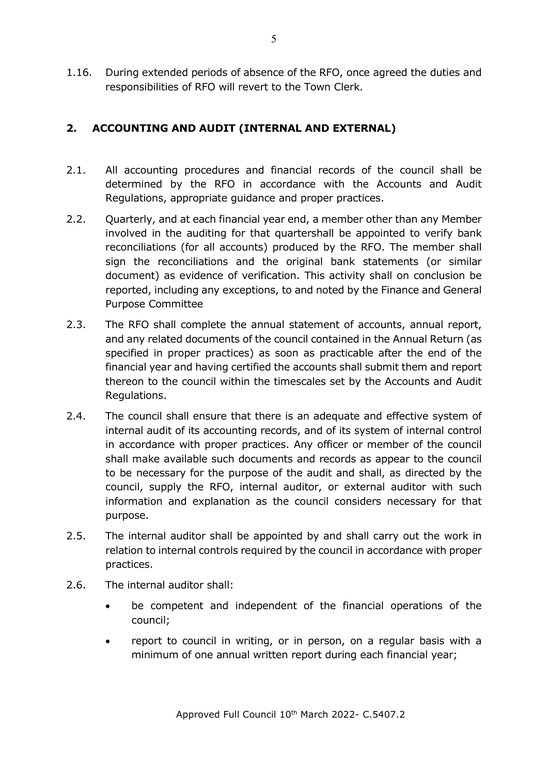1.16. During extended periods of absence of the RFO, once agreed the duties and responsibilities of RFO will revert to the Town Clerk.

## <span id="page-4-0"></span>**2. ACCOUNTING AND AUDIT (INTERNAL AND EXTERNAL)**

- 2.1. All accounting procedures and financial records of the council shall be determined by the RFO in accordance with the Accounts and Audit Regulations, appropriate guidance and proper practices.
- 2.2. Quarterly, and at each financial year end, a member other than any Member involved in the auditing for that quartershall be appointed to verify bank reconciliations (for all accounts) produced by the RFO. The member shall sign the reconciliations and the original bank statements (or similar document) as evidence of verification. This activity shall on conclusion be reported, including any exceptions, to and noted by the Finance and General Purpose Committee
- 2.3. The RFO shall complete the annual statement of accounts, annual report, and any related documents of the council contained in the Annual Return (as specified in proper practices) as soon as practicable after the end of the financial year and having certified the accounts shall submit them and report thereon to the council within the timescales set by the Accounts and Audit Regulations.
- 2.4. The council shall ensure that there is an adequate and effective system of internal audit of its accounting records, and of its system of internal control in accordance with proper practices. Any officer or member of the council shall make available such documents and records as appear to the council to be necessary for the purpose of the audit and shall, as directed by the council, supply the RFO, internal auditor, or external auditor with such information and explanation as the council considers necessary for that purpose.
- 2.5. The internal auditor shall be appointed by and shall carry out the work in relation to internal controls required by the council in accordance with proper practices.
- 2.6. The internal auditor shall:
	- be competent and independent of the financial operations of the council;
	- report to council in writing, or in person, on a regular basis with a minimum of one annual written report during each financial year;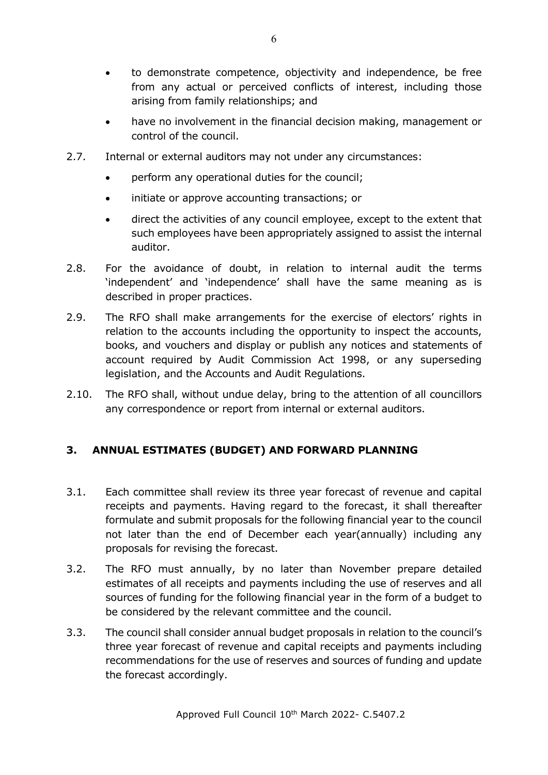- to demonstrate competence, objectivity and independence, be free from any actual or perceived conflicts of interest, including those arising from family relationships; and
- have no involvement in the financial decision making, management or control of the council.
- 2.7. Internal or external auditors may not under any circumstances:
	- perform any operational duties for the council;
	- initiate or approve accounting transactions; or
	- direct the activities of any council employee, except to the extent that such employees have been appropriately assigned to assist the internal auditor.
- 2.8. For the avoidance of doubt, in relation to internal audit the terms 'independent' and 'independence' shall have the same meaning as is described in proper practices.
- 2.9. The RFO shall make arrangements for the exercise of electors' rights in relation to the accounts including the opportunity to inspect the accounts, books, and vouchers and display or publish any notices and statements of account required by Audit Commission Act 1998, or any superseding legislation, and the Accounts and Audit Regulations.
- 2.10. The RFO shall, without undue delay, bring to the attention of all councillors any correspondence or report from internal or external auditors.

# <span id="page-5-0"></span>**3. ANNUAL ESTIMATES (BUDGET) AND FORWARD PLANNING**

- 3.1. Each committee shall review its three year forecast of revenue and capital receipts and payments. Having regard to the forecast, it shall thereafter formulate and submit proposals for the following financial year to the council not later than the end of December each year(annually) including any proposals for revising the forecast.
- 3.2. The RFO must annually, by no later than November prepare detailed estimates of all receipts and payments including the use of reserves and all sources of funding for the following financial year in the form of a budget to be considered by the relevant committee and the council.
- 3.3. The council shall consider annual budget proposals in relation to the council's three year forecast of revenue and capital receipts and payments including recommendations for the use of reserves and sources of funding and update the forecast accordingly.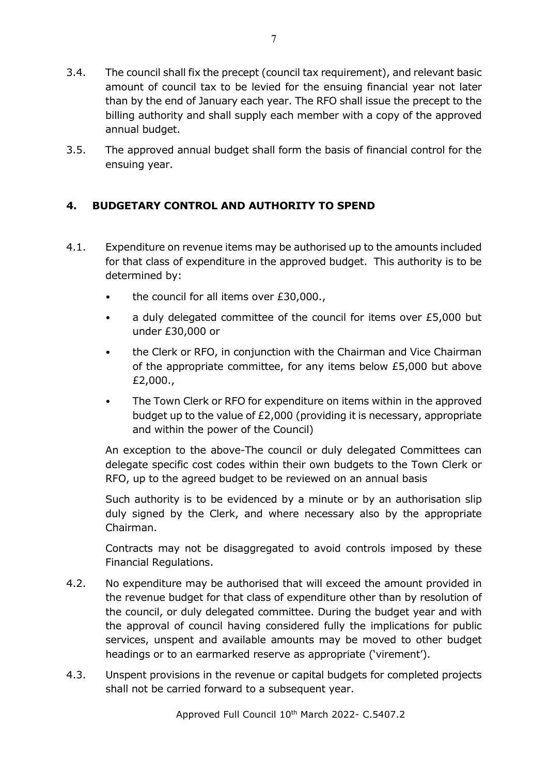- 3.4. The council shall fix the precept (council tax requirement), and relevant basic amount of council tax to be levied for the ensuing financial year not later than by the end of January each year. The RFO shall issue the precept to the billing authority and shall supply each member with a copy of the approved annual budget.
- 3.5. The approved annual budget shall form the basis of financial control for the ensuing year.

# <span id="page-6-0"></span>**4. BUDGETARY CONTROL AND AUTHORITY TO SPEND**

- 4.1. Expenditure on revenue items may be authorised up to the amounts included for that class of expenditure in the approved budget. This authority is to be determined by:
	- the council for all items over £30,000.,
	- a duly delegated committee of the council for items over £5,000 but under £30,000 or
	- the Clerk or RFO, in conjunction with the Chairman and Vice Chairman of the appropriate committee, for any items below £5,000 but above £2,000.,
	- The Town Clerk or RFO for expenditure on items within in the approved budget up to the value of £2,000 (providing it is necessary, appropriate and within the power of the Council)

An exception to the above-The council or duly delegated Committees can delegate specific cost codes within their own budgets to the Town Clerk or RFO, up to the agreed budget to be reviewed on an annual basis

Such authority is to be evidenced by a minute or by an authorisation slip duly signed by the Clerk, and where necessary also by the appropriate Chairman.

Contracts may not be disaggregated to avoid controls imposed by these Financial Regulations.

- 4.2. No expenditure may be authorised that will exceed the amount provided in the revenue budget for that class of expenditure other than by resolution of the council, or duly delegated committee. During the budget year and with the approval of council having considered fully the implications for public services, unspent and available amounts may be moved to other budget headings or to an earmarked reserve as appropriate ('virement').
- 4.3. Unspent provisions in the revenue or capital budgets for completed projects shall not be carried forward to a subsequent year.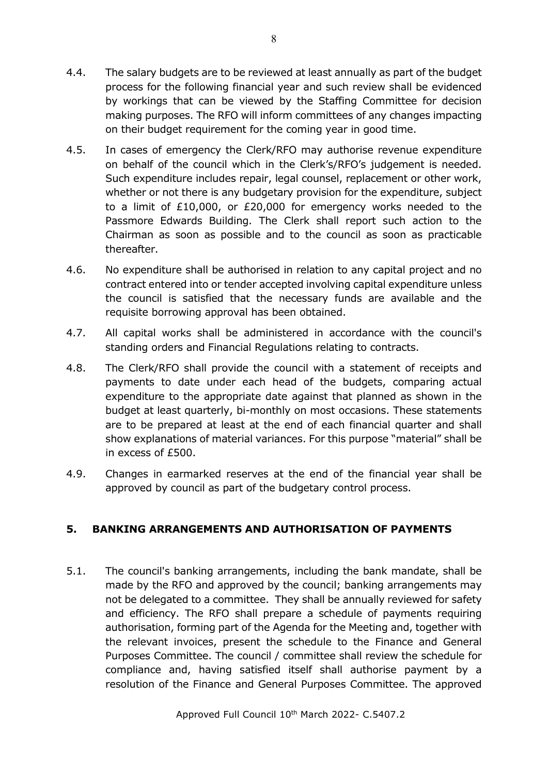- 4.4. The salary budgets are to be reviewed at least annually as part of the budget process for the following financial year and such review shall be evidenced by workings that can be viewed by the Staffing Committee for decision making purposes. The RFO will inform committees of any changes impacting on their budget requirement for the coming year in good time.
- 4.5. In cases of emergency the Clerk/RFO may authorise revenue expenditure on behalf of the council which in the Clerk's/RFO's judgement is needed. Such expenditure includes repair, legal counsel, replacement or other work, whether or not there is any budgetary provision for the expenditure, subject to a limit of £10,000, or £20,000 for emergency works needed to the Passmore Edwards Building. The Clerk shall report such action to the Chairman as soon as possible and to the council as soon as practicable thereafter.
- 4.6. No expenditure shall be authorised in relation to any capital project and no contract entered into or tender accepted involving capital expenditure unless the council is satisfied that the necessary funds are available and the requisite borrowing approval has been obtained.
- 4.7. All capital works shall be administered in accordance with the council's standing orders and Financial Regulations relating to contracts.
- 4.8. The Clerk/RFO shall provide the council with a statement of receipts and payments to date under each head of the budgets, comparing actual expenditure to the appropriate date against that planned as shown in the budget at least quarterly, bi-monthly on most occasions. These statements are to be prepared at least at the end of each financial quarter and shall show explanations of material variances. For this purpose "material" shall be in excess of £500.
- 4.9. Changes in earmarked reserves at the end of the financial year shall be approved by council as part of the budgetary control process.

# <span id="page-7-0"></span>**5. BANKING ARRANGEMENTS AND AUTHORISATION OF PAYMENTS**

5.1. The council's banking arrangements, including the bank mandate, shall be made by the RFO and approved by the council; banking arrangements may not be delegated to a committee. They shall be annually reviewed for safety and efficiency. The RFO shall prepare a schedule of payments requiring authorisation, forming part of the Agenda for the Meeting and, together with the relevant invoices, present the schedule to the Finance and General Purposes Committee. The council / committee shall review the schedule for compliance and, having satisfied itself shall authorise payment by a resolution of the Finance and General Purposes Committee. The approved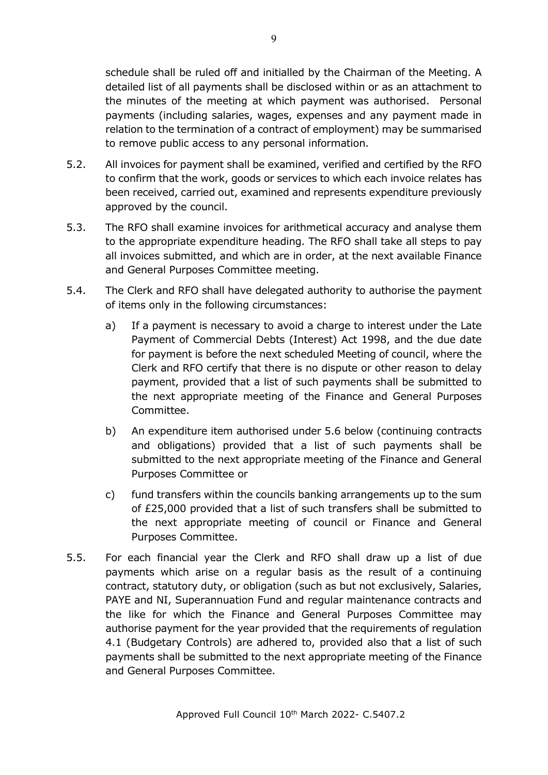schedule shall be ruled off and initialled by the Chairman of the Meeting. A detailed list of all payments shall be disclosed within or as an attachment to the minutes of the meeting at which payment was authorised. Personal payments (including salaries, wages, expenses and any payment made in relation to the termination of a contract of employment) may be summarised to remove public access to any personal information.

- 5.2. All invoices for payment shall be examined, verified and certified by the RFO to confirm that the work, goods or services to which each invoice relates has been received, carried out, examined and represents expenditure previously approved by the council.
- 5.3. The RFO shall examine invoices for arithmetical accuracy and analyse them to the appropriate expenditure heading. The RFO shall take all steps to pay all invoices submitted, and which are in order, at the next available Finance and General Purposes Committee meeting.
- 5.4. The Clerk and RFO shall have delegated authority to authorise the payment of items only in the following circumstances:
	- a) If a payment is necessary to avoid a charge to interest under the Late Payment of Commercial Debts (Interest) Act 1998, and the due date for payment is before the next scheduled Meeting of council, where the Clerk and RFO certify that there is no dispute or other reason to delay payment, provided that a list of such payments shall be submitted to the next appropriate meeting of the Finance and General Purposes Committee.
	- b) An expenditure item authorised under 5.6 below (continuing contracts and obligations) provided that a list of such payments shall be submitted to the next appropriate meeting of the Finance and General Purposes Committee or
	- c) fund transfers within the councils banking arrangements up to the sum of £25,000 provided that a list of such transfers shall be submitted to the next appropriate meeting of council or Finance and General Purposes Committee.
- 5.5. For each financial year the Clerk and RFO shall draw up a list of due payments which arise on a regular basis as the result of a continuing contract, statutory duty, or obligation (such as but not exclusively, Salaries, PAYE and NI, Superannuation Fund and regular maintenance contracts and the like for which the Finance and General Purposes Committee may authorise payment for the year provided that the requirements of regulation 4.1 (Budgetary Controls) are adhered to, provided also that a list of such payments shall be submitted to the next appropriate meeting of the Finance and General Purposes Committee.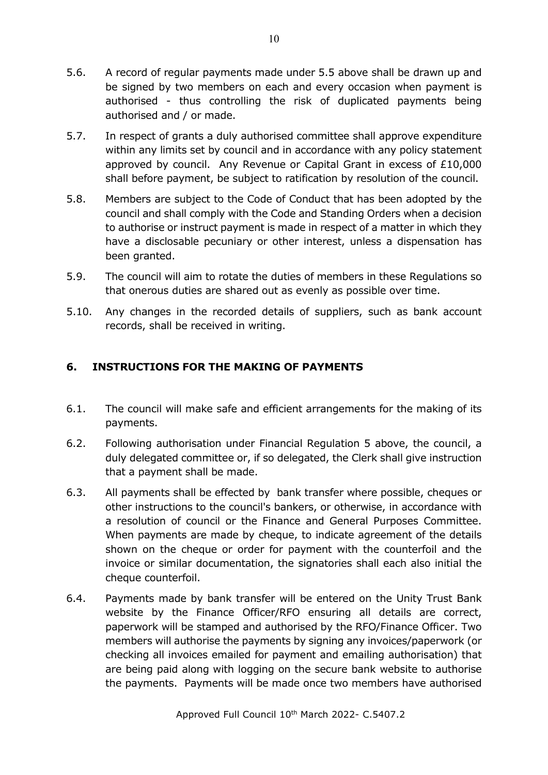- 5.6. A record of regular payments made under 5.5 above shall be drawn up and be signed by two members on each and every occasion when payment is authorised - thus controlling the risk of duplicated payments being authorised and / or made.
- 5.7. In respect of grants a duly authorised committee shall approve expenditure within any limits set by council and in accordance with any policy statement approved by council. Any Revenue or Capital Grant in excess of £10,000 shall before payment, be subject to ratification by resolution of the council.
- 5.8. Members are subject to the Code of Conduct that has been adopted by the council and shall comply with the Code and Standing Orders when a decision to authorise or instruct payment is made in respect of a matter in which they have a disclosable pecuniary or other interest, unless a dispensation has been granted.
- 5.9. The council will aim to rotate the duties of members in these Regulations so that onerous duties are shared out as evenly as possible over time.
- 5.10. Any changes in the recorded details of suppliers, such as bank account records, shall be received in writing.

## <span id="page-9-0"></span>**6. INSTRUCTIONS FOR THE MAKING OF PAYMENTS**

- 6.1. The council will make safe and efficient arrangements for the making of its payments.
- 6.2. Following authorisation under Financial Regulation 5 above, the council, a duly delegated committee or, if so delegated, the Clerk shall give instruction that a payment shall be made.
- 6.3. All payments shall be effected by bank transfer where possible, cheques or other instructions to the council's bankers, or otherwise, in accordance with a resolution of council or the Finance and General Purposes Committee. When payments are made by cheque, to indicate agreement of the details shown on the cheque or order for payment with the counterfoil and the invoice or similar documentation, the signatories shall each also initial the cheque counterfoil.
- 6.4. Payments made by bank transfer will be entered on the Unity Trust Bank website by the Finance Officer/RFO ensuring all details are correct, paperwork will be stamped and authorised by the RFO/Finance Officer. Two members will authorise the payments by signing any invoices/paperwork (or checking all invoices emailed for payment and emailing authorisation) that are being paid along with logging on the secure bank website to authorise the payments. Payments will be made once two members have authorised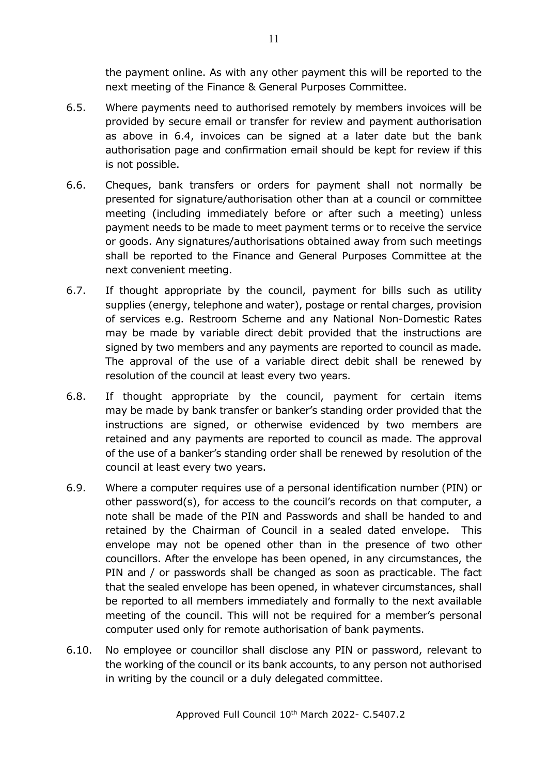the payment online. As with any other payment this will be reported to the next meeting of the Finance & General Purposes Committee.

- 6.5. Where payments need to authorised remotely by members invoices will be provided by secure email or transfer for review and payment authorisation as above in 6.4, invoices can be signed at a later date but the bank authorisation page and confirmation email should be kept for review if this is not possible.
- 6.6. Cheques, bank transfers or orders for payment shall not normally be presented for signature/authorisation other than at a council or committee meeting (including immediately before or after such a meeting) unless payment needs to be made to meet payment terms or to receive the service or goods. Any signatures/authorisations obtained away from such meetings shall be reported to the Finance and General Purposes Committee at the next convenient meeting.
- 6.7. If thought appropriate by the council, payment for bills such as utility supplies (energy, telephone and water), postage or rental charges, provision of services e.g. Restroom Scheme and any National Non-Domestic Rates may be made by variable direct debit provided that the instructions are signed by two members and any payments are reported to council as made. The approval of the use of a variable direct debit shall be renewed by resolution of the council at least every two years.
- 6.8. If thought appropriate by the council, payment for certain items may be made by bank transfer or banker's standing order provided that the instructions are signed, or otherwise evidenced by two members are retained and any payments are reported to council as made. The approval of the use of a banker's standing order shall be renewed by resolution of the council at least every two years.
- 6.9. Where a computer requires use of a personal identification number (PIN) or other password(s), for access to the council's records on that computer, a note shall be made of the PIN and Passwords and shall be handed to and retained by the Chairman of Council in a sealed dated envelope. This envelope may not be opened other than in the presence of two other councillors. After the envelope has been opened, in any circumstances, the PIN and / or passwords shall be changed as soon as practicable. The fact that the sealed envelope has been opened, in whatever circumstances, shall be reported to all members immediately and formally to the next available meeting of the council. This will not be required for a member's personal computer used only for remote authorisation of bank payments.
- 6.10. No employee or councillor shall disclose any PIN or password, relevant to the working of the council or its bank accounts, to any person not authorised in writing by the council or a duly delegated committee.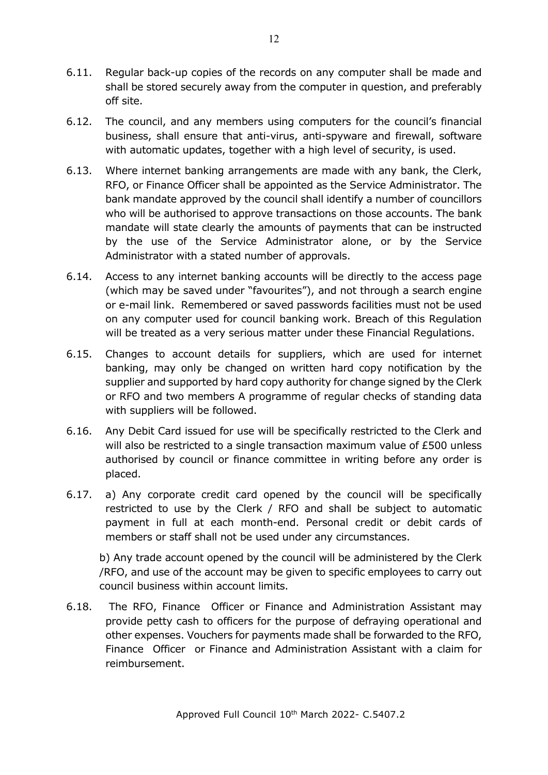- 6.11. Regular back-up copies of the records on any computer shall be made and shall be stored securely away from the computer in question, and preferably off site.
- 6.12. The council, and any members using computers for the council's financial business, shall ensure that anti-virus, anti-spyware and firewall, software with automatic updates, together with a high level of security, is used.
- 6.13. Where internet banking arrangements are made with any bank, the Clerk, RFO, or Finance Officer shall be appointed as the Service Administrator. The bank mandate approved by the council shall identify a number of councillors who will be authorised to approve transactions on those accounts. The bank mandate will state clearly the amounts of payments that can be instructed by the use of the Service Administrator alone, or by the Service Administrator with a stated number of approvals.
- 6.14. Access to any internet banking accounts will be directly to the access page (which may be saved under "favourites"), and not through a search engine or e-mail link. Remembered or saved passwords facilities must not be used on any computer used for council banking work. Breach of this Regulation will be treated as a very serious matter under these Financial Regulations.
- 6.15. Changes to account details for suppliers, which are used for internet banking, may only be changed on written hard copy notification by the supplier and supported by hard copy authority for change signed by the Clerk or RFO and two members A programme of regular checks of standing data with suppliers will be followed.
- 6.16. Any Debit Card issued for use will be specifically restricted to the Clerk and will also be restricted to a single transaction maximum value of £500 unless authorised by council or finance committee in writing before any order is placed.
- 6.17. a) Any corporate credit card opened by the council will be specifically restricted to use by the Clerk / RFO and shall be subject to automatic payment in full at each month-end. Personal credit or debit cards of members or staff shall not be used under any circumstances.

b) Any trade account opened by the council will be administered by the Clerk /RFO, and use of the account may be given to specific employees to carry out council business within account limits.

6.18. The RFO, Finance Officer or Finance and Administration Assistant may provide petty cash to officers for the purpose of defraying operational and other expenses. Vouchers for payments made shall be forwarded to the RFO, Finance Officer or Finance and Administration Assistant with a claim for reimbursement.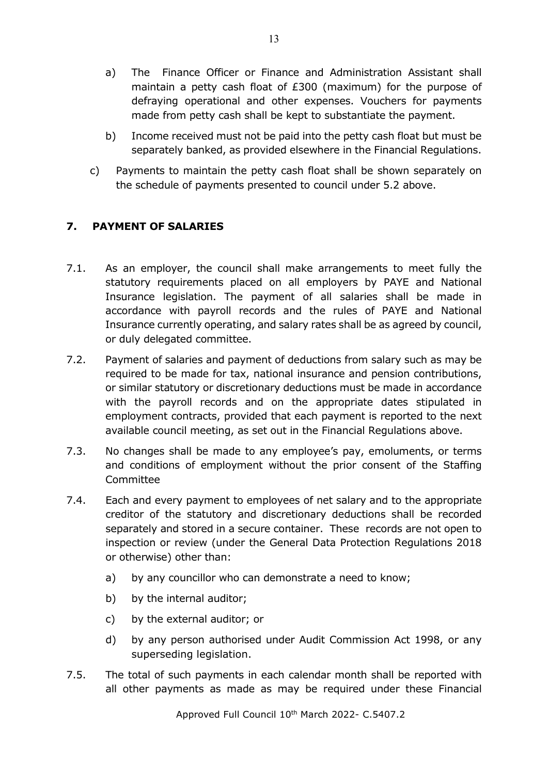- a) The Finance Officer or Finance and Administration Assistant shall maintain a petty cash float of £300 (maximum) for the purpose of defraying operational and other expenses. Vouchers for payments made from petty cash shall be kept to substantiate the payment.
- b) Income received must not be paid into the petty cash float but must be separately banked, as provided elsewhere in the Financial Regulations.
- c) Payments to maintain the petty cash float shall be shown separately on the schedule of payments presented to council under 5.2 above.

## <span id="page-12-0"></span>**7. PAYMENT OF SALARIES**

- 7.1. As an employer, the council shall make arrangements to meet fully the statutory requirements placed on all employers by PAYE and National Insurance legislation. The payment of all salaries shall be made in accordance with payroll records and the rules of PAYE and National Insurance currently operating, and salary rates shall be as agreed by council, or duly delegated committee.
- 7.2. Payment of salaries and payment of deductions from salary such as may be required to be made for tax, national insurance and pension contributions, or similar statutory or discretionary deductions must be made in accordance with the payroll records and on the appropriate dates stipulated in employment contracts, provided that each payment is reported to the next available council meeting, as set out in the Financial Regulations above.
- 7.3. No changes shall be made to any employee's pay, emoluments, or terms and conditions of employment without the prior consent of the Staffing Committee
- 7.4. Each and every payment to employees of net salary and to the appropriate creditor of the statutory and discretionary deductions shall be recorded separately and stored in a secure container. These records are not open to inspection or review (under the General Data Protection Regulations 2018 or otherwise) other than:
	- a) by any councillor who can demonstrate a need to know;
	- b) by the internal auditor;
	- c) by the external auditor; or
	- d) by any person authorised under Audit Commission Act 1998, or any superseding legislation.
- 7.5. The total of such payments in each calendar month shall be reported with all other payments as made as may be required under these Financial

Approved Full Council 10<sup>th</sup> March 2022- C.5407.2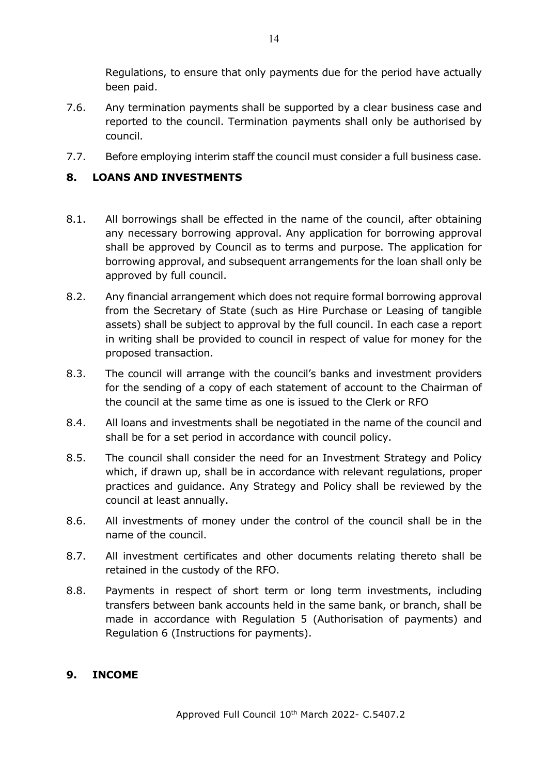Regulations, to ensure that only payments due for the period have actually been paid.

- 7.6. Any termination payments shall be supported by a clear business case and reported to the council. Termination payments shall only be authorised by council.
- 7.7. Before employing interim staff the council must consider a full business case.

#### <span id="page-13-0"></span>**8. LOANS AND INVESTMENTS**

- 8.1. All borrowings shall be effected in the name of the council, after obtaining any necessary borrowing approval. Any application for borrowing approval shall be approved by Council as to terms and purpose. The application for borrowing approval, and subsequent arrangements for the loan shall only be approved by full council.
- 8.2. Any financial arrangement which does not require formal borrowing approval from the Secretary of State (such as Hire Purchase or Leasing of tangible assets) shall be subject to approval by the full council. In each case a report in writing shall be provided to council in respect of value for money for the proposed transaction.
- 8.3. The council will arrange with the council's banks and investment providers for the sending of a copy of each statement of account to the Chairman of the council at the same time as one is issued to the Clerk or RFO
- 8.4. All loans and investments shall be negotiated in the name of the council and shall be for a set period in accordance with council policy.
- 8.5. The council shall consider the need for an Investment Strategy and Policy which, if drawn up, shall be in accordance with relevant regulations, proper practices and guidance. Any Strategy and Policy shall be reviewed by the council at least annually.
- 8.6. All investments of money under the control of the council shall be in the name of the council.
- 8.7. All investment certificates and other documents relating thereto shall be retained in the custody of the RFO.
- 8.8. Payments in respect of short term or long term investments, including transfers between bank accounts held in the same bank, or branch, shall be made in accordance with Regulation 5 (Authorisation of payments) and Regulation 6 (Instructions for payments).

#### <span id="page-13-1"></span>**9. INCOME**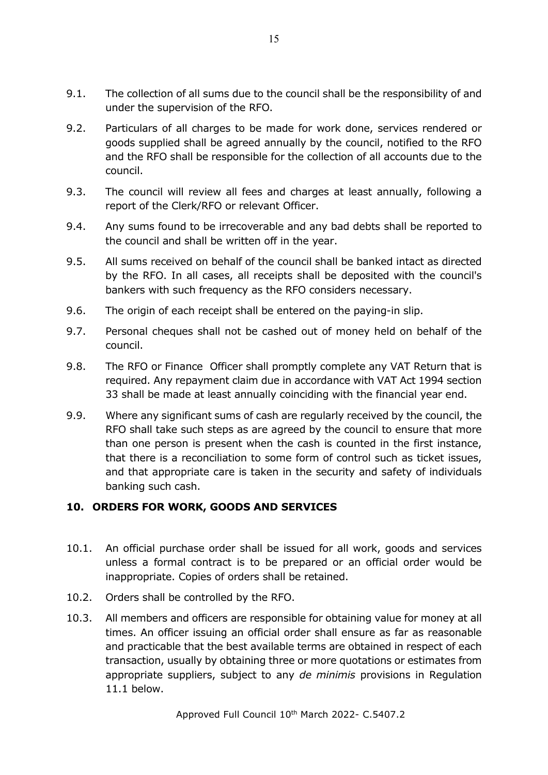- 9.1. The collection of all sums due to the council shall be the responsibility of and under the supervision of the RFO.
- 9.2. Particulars of all charges to be made for work done, services rendered or goods supplied shall be agreed annually by the council, notified to the RFO and the RFO shall be responsible for the collection of all accounts due to the council.
- 9.3. The council will review all fees and charges at least annually, following a report of the Clerk/RFO or relevant Officer.
- 9.4. Any sums found to be irrecoverable and any bad debts shall be reported to the council and shall be written off in the year.
- 9.5. All sums received on behalf of the council shall be banked intact as directed by the RFO. In all cases, all receipts shall be deposited with the council's bankers with such frequency as the RFO considers necessary.
- 9.6. The origin of each receipt shall be entered on the paying-in slip.
- 9.7. Personal cheques shall not be cashed out of money held on behalf of the council.
- 9.8. The RFO or Finance Officer shall promptly complete any VAT Return that is required. Any repayment claim due in accordance with VAT Act 1994 section 33 shall be made at least annually coinciding with the financial year end.
- 9.9. Where any significant sums of cash are regularly received by the council, the RFO shall take such steps as are agreed by the council to ensure that more than one person is present when the cash is counted in the first instance, that there is a reconciliation to some form of control such as ticket issues, and that appropriate care is taken in the security and safety of individuals banking such cash.

#### <span id="page-14-0"></span>**10. ORDERS FOR WORK, GOODS AND SERVICES**

- 10.1. An official purchase order shall be issued for all work, goods and services unless a formal contract is to be prepared or an official order would be inappropriate. Copies of orders shall be retained.
- 10.2. Orders shall be controlled by the RFO.
- 10.3. All members and officers are responsible for obtaining value for money at all times. An officer issuing an official order shall ensure as far as reasonable and practicable that the best available terms are obtained in respect of each transaction, usually by obtaining three or more quotations or estimates from appropriate suppliers, subject to any *de minimis* provisions in Regulation 11.1 below.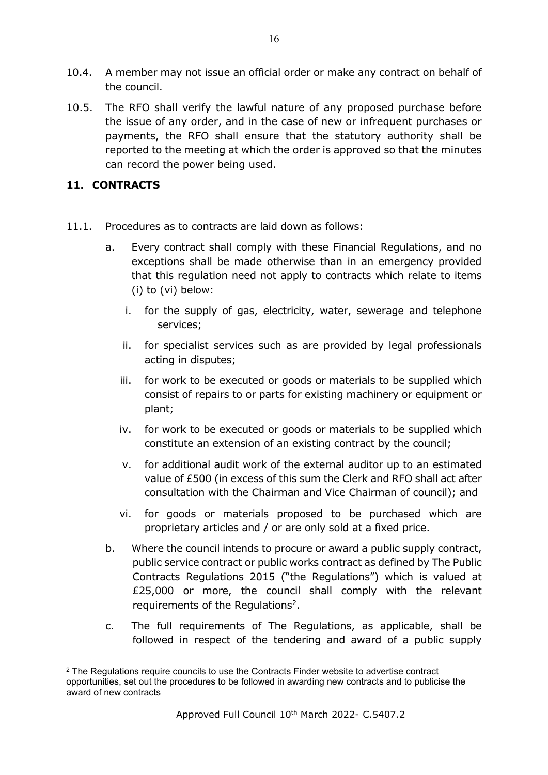- 10.4. A member may not issue an official order or make any contract on behalf of the council.
- 10.5. The RFO shall verify the lawful nature of any proposed purchase before the issue of any order, and in the case of new or infrequent purchases or payments, the RFO shall ensure that the statutory authority shall be reported to the meeting at which the order is approved so that the minutes can record the power being used.

#### <span id="page-15-0"></span>**11. CONTRACTS**

- 11.1. Procedures as to contracts are laid down as follows:
	- a. Every contract shall comply with these Financial Regulations, and no exceptions shall be made otherwise than in an emergency provided that this regulation need not apply to contracts which relate to items (i) to (vi) below:
		- i. for the supply of gas, electricity, water, sewerage and telephone services;
		- ii. for specialist services such as are provided by legal professionals acting in disputes;
		- iii. for work to be executed or goods or materials to be supplied which consist of repairs to or parts for existing machinery or equipment or plant;
		- iv. for work to be executed or goods or materials to be supplied which constitute an extension of an existing contract by the council;
		- v. for additional audit work of the external auditor up to an estimated value of £500 (in excess of this sum the Clerk and RFO shall act after consultation with the Chairman and Vice Chairman of council); and
		- vi. for goods or materials proposed to be purchased which are proprietary articles and / or are only sold at a fixed price.
	- b. Where the council intends to procure or award a public supply contract, public service contract or public works contract as defined by The Public Contracts Regulations 2015 ("the Regulations") which is valued at £25,000 or more, the council shall comply with the relevant requirements of the Requiations<sup>[2](#page-15-1)</sup>.
	- c. The full requirements of The Regulations, as applicable, shall be followed in respect of the tendering and award of a public supply

<span id="page-15-1"></span><sup>&</sup>lt;sup>2</sup> The Regulations require councils to use the Contracts Finder website to advertise contract opportunities, set out the procedures to be followed in awarding new contracts and to publicise the award of new contracts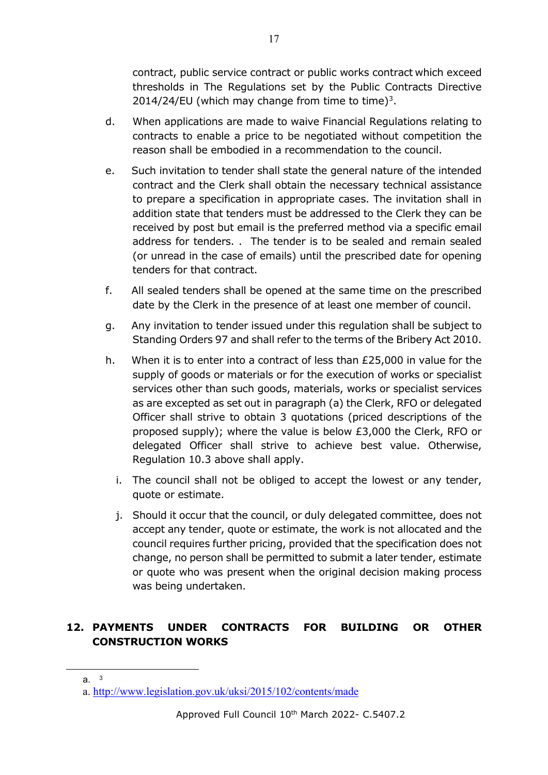contract, public service contract or public works contract which exceed thresholds in The Regulations set by the Public Contracts Directive 2014/24/EU (which may change from time to time)<sup>[3](#page-16-1)</sup>.

- d. When applications are made to waive Financial Regulations relating to contracts to enable a price to be negotiated without competition the reason shall be embodied in a recommendation to the council.
- e. Such invitation to tender shall state the general nature of the intended contract and the Clerk shall obtain the necessary technical assistance to prepare a specification in appropriate cases. The invitation shall in addition state that tenders must be addressed to the Clerk they can be received by post but email is the preferred method via a specific email address for tenders. . The tender is to be sealed and remain sealed (or unread in the case of emails) until the prescribed date for opening tenders for that contract.
- f. All sealed tenders shall be opened at the same time on the prescribed date by the Clerk in the presence of at least one member of council.
- g. Any invitation to tender issued under this regulation shall be subject to Standing Orders 97 and shall refer to the terms of the Bribery Act 2010.
- h. When it is to enter into a contract of less than  $E25,000$  in value for the supply of goods or materials or for the execution of works or specialist services other than such goods, materials, works or specialist services as are excepted as set out in paragraph (a) the Clerk, RFO or delegated Officer shall strive to obtain 3 quotations (priced descriptions of the proposed supply); where the value is below £3,000 the Clerk, RFO or delegated Officer shall strive to achieve best value. Otherwise, Regulation 10.3 above shall apply.
	- i. The council shall not be obliged to accept the lowest or any tender, quote or estimate.
	- j. Should it occur that the council, or duly delegated committee, does not accept any tender, quote or estimate, the work is not allocated and the council requires further pricing, provided that the specification does not change, no person shall be permitted to submit a later tender, estimate or quote who was present when the original decision making process was being undertaken.

## <span id="page-16-0"></span>**12. PAYMENTS UNDER CONTRACTS FOR BUILDING OR OTHER CONSTRUCTION WORKS**

<span id="page-16-1"></span>a. <sup>3</sup>

a.<http://www.legislation.gov.uk/uksi/2015/102/contents/made>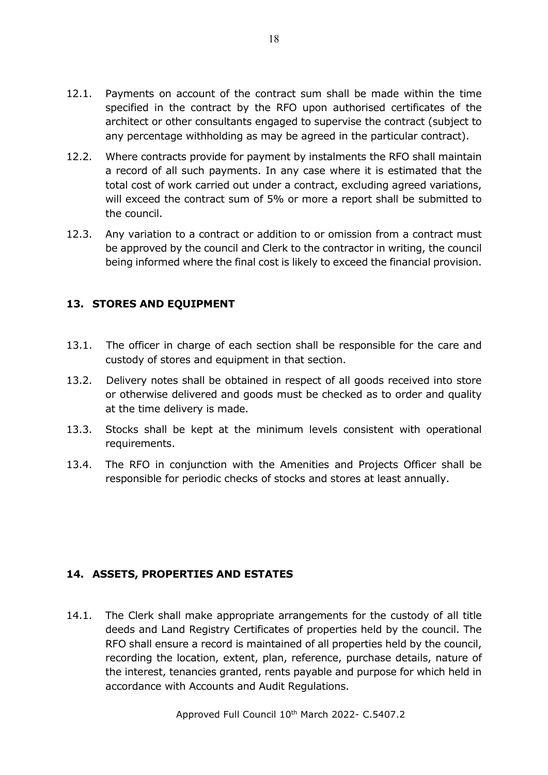- 12.1. Payments on account of the contract sum shall be made within the time specified in the contract by the RFO upon authorised certificates of the architect or other consultants engaged to supervise the contract (subject to any percentage withholding as may be agreed in the particular contract).
- 12.2. Where contracts provide for payment by instalments the RFO shall maintain a record of all such payments. In any case where it is estimated that the total cost of work carried out under a contract, excluding agreed variations, will exceed the contract sum of 5% or more a report shall be submitted to the council.
- 12.3. Any variation to a contract or addition to or omission from a contract must be approved by the council and Clerk to the contractor in writing, the council being informed where the final cost is likely to exceed the financial provision.

#### <span id="page-17-0"></span>**13. STORES AND EQUIPMENT**

- 13.1. The officer in charge of each section shall be responsible for the care and custody of stores and equipment in that section.
- 13.2. Delivery notes shall be obtained in respect of all goods received into store or otherwise delivered and goods must be checked as to order and quality at the time delivery is made.
- 13.3. Stocks shall be kept at the minimum levels consistent with operational requirements.
- 13.4. The RFO in conjunction with the Amenities and Projects Officer shall be responsible for periodic checks of stocks and stores at least annually.

# <span id="page-17-1"></span>**14. ASSETS, PROPERTIES AND ESTATES**

14.1. The Clerk shall make appropriate arrangements for the custody of all title deeds and Land Registry Certificates of properties held by the council. The RFO shall ensure a record is maintained of all properties held by the council, recording the location, extent, plan, reference, purchase details, nature of the interest, tenancies granted, rents payable and purpose for which held in accordance with Accounts and Audit Regulations.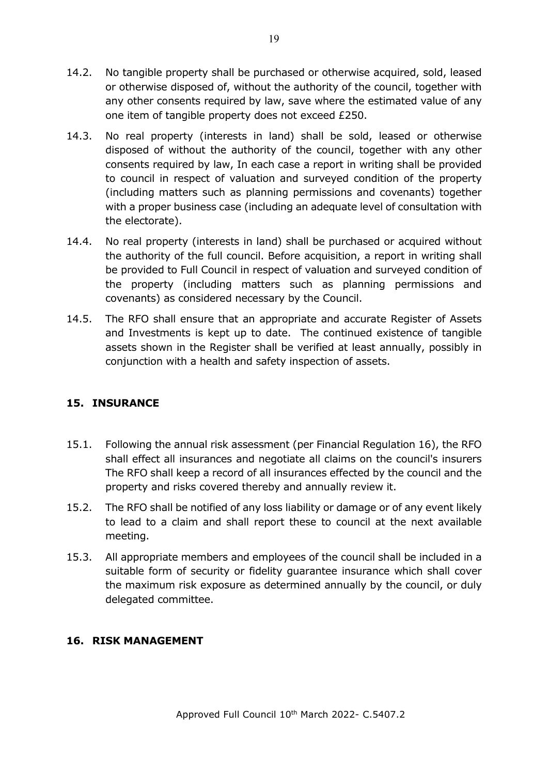- 14.2. No tangible property shall be purchased or otherwise acquired, sold, leased or otherwise disposed of, without the authority of the council, together with any other consents required by law, save where the estimated value of any one item of tangible property does not exceed £250.
- 14.3. No real property (interests in land) shall be sold, leased or otherwise disposed of without the authority of the council, together with any other consents required by law, In each case a report in writing shall be provided to council in respect of valuation and surveyed condition of the property (including matters such as planning permissions and covenants) together with a proper business case (including an adequate level of consultation with the electorate).
- 14.4. No real property (interests in land) shall be purchased or acquired without the authority of the full council. Before acquisition, a report in writing shall be provided to Full Council in respect of valuation and surveyed condition of the property (including matters such as planning permissions and covenants) as considered necessary by the Council.
- 14.5. The RFO shall ensure that an appropriate and accurate Register of Assets and Investments is kept up to date. The continued existence of tangible assets shown in the Register shall be verified at least annually, possibly in conjunction with a health and safety inspection of assets.

# <span id="page-18-0"></span>**15. INSURANCE**

- 15.1. Following the annual risk assessment (per Financial Regulation 16), the RFO shall effect all insurances and negotiate all claims on the council's insurers The RFO shall keep a record of all insurances effected by the council and the property and risks covered thereby and annually review it.
- 15.2. The RFO shall be notified of any loss liability or damage or of any event likely to lead to a claim and shall report these to council at the next available meeting.
- 15.3. All appropriate members and employees of the council shall be included in a suitable form of security or fidelity guarantee insurance which shall cover the maximum risk exposure as determined annually by the council, or duly delegated committee.

#### <span id="page-18-1"></span>**16. RISK MANAGEMENT**